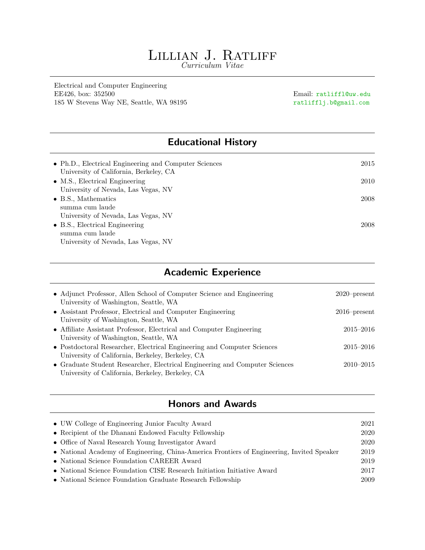# LILLIAN J. RATLIFF

Curriculum Vitae

Electrical and Computer Engineering EE426, box: 352500 Email: ratliffl@uw.edu 185 W Stevens Way NE, Seattle, WA 98195 ratlifflj.b@gmail.com

## Educational History

| 2015 |
|------|
|      |
| 2010 |
|      |
| 2008 |
|      |
|      |
| 2008 |
|      |
|      |
|      |

## Academic Experience

| • Adjunct Professor, Allen School of Computer Science and Engineering<br>University of Washington, Seattle, WA                  | $2020$ -present |
|---------------------------------------------------------------------------------------------------------------------------------|-----------------|
| • Assistant Professor, Electrical and Computer Engineering<br>University of Washington, Seattle, WA                             | $2016$ -present |
| • Affiliate Assistant Professor, Electrical and Computer Engineering                                                            | $2015 - 2016$   |
| University of Washington, Seattle, WA<br>• Postdoctoral Researcher, Electrical Engineering and Computer Sciences                | $2015 - 2016$   |
| University of California, Berkeley, Berkeley, CA<br>• Graduate Student Researcher, Electrical Engineering and Computer Sciences | $2010 - 2015$   |
| University of California, Berkeley, Berkeley, CA                                                                                |                 |

## Honors and Awards

| 2021 |
|------|
| 2020 |
| 2020 |
| 2019 |
| 2019 |
| 2017 |
| 2009 |
|      |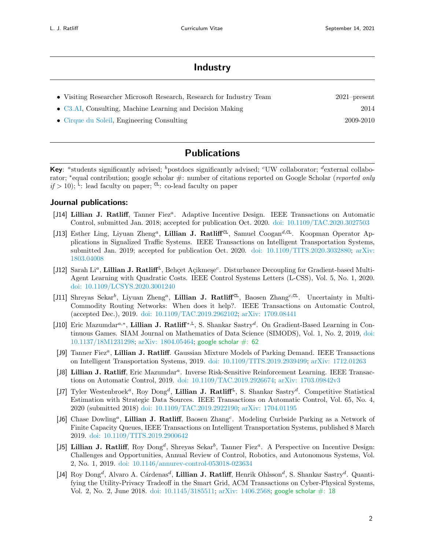### Industry

| • Visiting Researcher Microsoft Research, Research for Industry Team | $2021$ -present |
|----------------------------------------------------------------------|-----------------|
| $\bullet$ C3.AI, Consulting, Machine Learning and Decision Making    | 2014            |
| • Cirque du Soleil, Engineering Consulting                           | 2009-2010       |

## Publications

Key: "students significantly advised;  $\frac{b}{c}$  postdocs significantly advised; "UW collaborator;  $\frac{d}{c}$  external collaborator; \*equal contribution; google scholar #: number of citations reported on Google Scholar (reported only  $if > 10$ ; <sup>L</sup>: lead faculty on paper; <sup>CL</sup>: co-lead faculty on paper

#### Journal publications:

- [J14] Lillian J. Ratliff, Tanner Fiez<sup>a</sup>. Adaptive Incentive Design. IEEE Transactions on Automatic Control, submitted Jan. 2018; accepted for publication Oct. 2020. [doi: 10.1109/TAC.2020.3027503](http://dx.doi.org/10.1109/TAC.2020.3027503)
- [J13] Esther Ling, Liyuan Zheng<sup>a</sup>, Lillian J. Ratliff<sup>CL</sup>, Samuel Coogan<sup>d,CL</sup>. Koopman Operator Applications in Signalized Traffic Systems. IEEE Transactions on Intelligent Transportation Systems, submitted Jan. 2019; accepted for publication Oct. 2020. [doi: 10.1109/TITS.2020.3032880;](http://dx.doi.org/10.1109/TITS.2020.3032880) [arXiv:](http://arxiv.org/abs/1803.04008) [1803.04008](http://arxiv.org/abs/1803.04008)
- [J12] Sarah Li<sup>a</sup>, Lillian J. Ratliff<sup>L</sup>, Behçet Açikmeşe<sup>c</sup>. Disturbance Decoupling for Gradient-based Multi-Agent Learning with Quadratic Costs. IEEE Control Systems Letters (L-CSS), Vol. 5, No. 1, 2020. [doi: 10.1109/LCSYS.2020.3001240](http://dx.doi.org/10.1109/LCSYS.2020.3001240)
- [J11] Shreyas Sekar<sup>b</sup>, Liyuan Zheng<sup>a</sup>, Lillian J. Ratliff<sup>CL</sup>, Baosen Zhang<sup>c,CL</sup>. Uncertainty in Multi-Commodity Routing Networks: When does it help?. IEEE Transactions on Automatic Control, (accepted Dec.), 2019. [doi: 10.1109/TAC.2019.2962102;](http://dx.doi.org/10.1109/TAC.2019.2962102) [arXiv: 1709.08441](http://arxiv.org/abs/1709.08441)
- [J10] Eric Mazumdar<sup>a,∗</sup>, Lillian J. Ratliff<sup>\*,L</sup>, S. Shankar Sastry<sup>d</sup>. On Gradient-Based Learning in Continuous Games. SIAM Journal on Mathematics of Data Science (SIMODS), Vol. 1, No. 2, 2019, [doi:](http://dx.doi.org/10.1137/18M1231298) [10.1137/18M1231298;](http://dx.doi.org/10.1137/18M1231298) [arXiv: 1804.05464;](http://arxiv.org/abs/1804.05464) [google scholar #: 62](https://scholar.google.com/scholar?cites=1701319298330515887&as_sdt=5,48&sciodt=0,48&hl=en)
- [J9] Tanner Fiez<sup>a</sup>, Lillian J. Ratliff. Gaussian Mixture Models of Parking Demand. IEEE Transactions on Intelligent Transportation Systems, 2019. [doi: 10.1109/TITS.2019.2939499;](http://dx.doi.org/10.1109/TITS.2019.2939499) [arXiv: 1712.01263](http://arxiv.org/abs/1712.01263)
- [J8] Lillian J. Ratliff, Eric Mazumdar<sup>a</sup>. Inverse Risk-Sensitive Reinforcement Learning. IEEE Transactions on Automatic Control, 2019. [doi: 10.1109/TAC.2019.2926674;](http://dx.doi.org/10.1109/TAC.2019.2926674) [arXiv: 1703.09842v3](http://arxiv.org/abs/1703.09842v3)
- [J7] Tyler Westenbroek<sup>a</sup>, Roy Dong<sup>d</sup>, Lillian J. Ratliff<sup>L</sup>, S. Shankar Sastry<sup>d</sup>. Competitive Statistical Estimation with Strategic Data Sources. IEEE Transactions on Automatic Control, Vol. 65, No. 4, 2020 (submitted 2018) [doi: 10.1109/TAC.2019.2922190;](http://dx.doi.org/10.1109/TAC.2019.2922190) [arXiv: 1704.01195](http://arxiv.org/abs/1704.01195)
- [J6] Chase Dowling<sup>a</sup>, Lillian J. Ratliff, Baosen Zhang<sup>c</sup>. Modeling Curbside Parking as a Network of Finite Capacity Queues, IEEE Transactions on Intelligent Transportation Systems, published 8 March 2019. [doi: 10.1109/TITS.2019.2900642](http://dx.doi.org/10.1109/TITS.2019.2900642)
- [J5] Lillian J. Ratliff, Roy Dong<sup>d</sup>, Shreyas Sekar<sup>b</sup>, Tanner Fiez<sup>a</sup>. A Perspective on Incentive Design: Challenges and Opportunities, Annual Review of Control, Robotics, and Autonomous Systems, Vol. 2, No. 1, 2019. [doi: 10.1146/annurev-control-053018-023634](http://dx.doi.org/10.1146/annurev-control-053018-023634)
- [J4] Roy Dong<sup>d</sup>, Alvaro A. Cárdenas<sup>d</sup>, **Lillian J. Ratliff**, Henrik Ohlsson<sup>d</sup>, S. Shankar Sastry<sup>d</sup>. Quantifying the Utility-Privacy Tradeoff in the Smart Grid, ACM Transactions on Cyber-Physical Systems, Vol. 2, No. 2, June 2018. [doi: 10.1145/3185511;](http://dx.doi.org/10.1145/3185511) [arXiv: 1406.2568;](http://arxiv.org/abs/1406.2568) [google scholar #: 18](https://scholar.google.com/scholar?oi=bibs&hl=en&authuser=2&cites=5013572413604072361,11392725842162328097&as_sdt=5)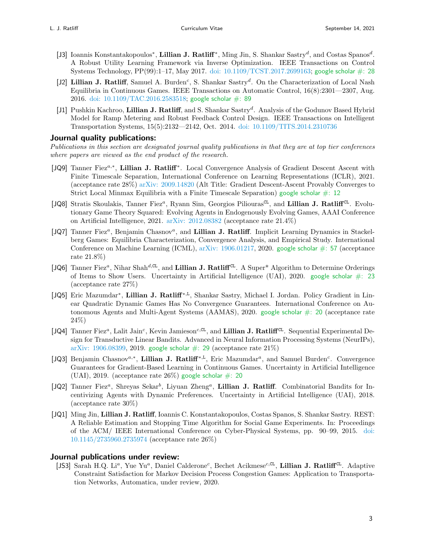- [J3] Ioannis Konstantakopoulos<sup>\*</sup>, Lillian J. Ratliff<sup>\*</sup>, Ming Jin, S. Shankar Sastry<sup>d</sup>, and Costas Spanos<sup>d</sup>. A Robust Utility Learning Framework via Inverse Optimization. IEEE Transactions on Control Systems Technology, PP(99):1–17, May 2017. [doi: 10.1109/TCST.2017.2699163;](http://dx.doi.org/10.1109/TCST.2017.2699163) [google scholar #: 28](https://scholar.google.com/scholar?oi=bibs&hl=en&cites=10062608594779887238&as_sdt=5)
- [J2] Lillian J. Ratliff, Samuel A. Burden<sup>c</sup>, S. Shankar Sastry<sup>d</sup>. On the Characterization of Local Nash Equilibria in Continuous Games. IEEE Transactions on Automatic Control, 16(8):2301—2307, Aug. 2016. [doi: 10.1109/TAC.2016.2583518;](http://dx.doi.org/10.1109/TAC.2016.2583518) [google scholar #: 89](https://scholar.google.com/scholar?oi=bibs&hl=en&cites=3097447437889982886)
- [J1] Pushkin Kachroo, Lillian J. Ratliff, and S. Shankar Sastry<sup>d</sup>. Analysis of the Godunov Based Hybrid Model for Ramp Metering and Robust Feedback Control Design. IEEE Transactions on Intelligent Transportation Systems, 15(5):2132—2142, Oct. 2014. [doi: 10.1109/TITS.2014.2310736](http://dx.doi.org/10.1109/TITS.2014.2310736)

#### Journal quality publications:

Publications in this section are designated journal quality publications in that they are at top tier conferences where papers are viewed as the end product of the research.

- [JQ9] Tanner Fiez<sup>a,\*</sup>, Lillian J. Ratliff<sup>\*</sup>. Local Convergence Analysis of Gradient Descent Ascent with Finite Timescale Separation, International Conference on Learning Representations (ICLR), 2021. (acceptance rate 28%) [arXiv: 2009.14820](http://arxiv.org/abs/2009.14820) (Alt Title: Gradient Descent-Ascent Provably Converges to Strict Local Minmax Equilibria with a Finite Timescale Separation) google scholar  $\#$ : 12
- [JQ8] Stratis Skoulakis, Tanner Fiez<sup>a</sup>, Ryann Sim, Georgios Piliouras<sup>CL</sup>, and Lillian J. Ratliff<sup>CL</sup>. Evolutionary Game Theory Squared: Evolving Agents in Endogenously Evolving Games, AAAI Conference on Artificial Intelligence, 2021. [arXiv: 2012.08382](http://arxiv.org/abs/2012.08382) (acceptance rate 21.4%)
- [JQ7] Tanner Fiez<sup>a</sup>, Benjamin Chasnov<sup>a</sup>, and Lillian J. Ratliff. Implicit Learning Dynamics in Stackelberg Games: Equilibria Characterization, Convergence Analysis, and Empirical Study. International Conference on Machine Learning (ICML),  $arXiv: 1906.01217, 2020.$  $arXiv: 1906.01217, 2020.$  [google scholar #: 57](https://scholar.google.com/scholar?cites=1035127214922050059&as_sdt=5,48&sciodt=0,48&hl=en) (acceptance rate 21.8%)
- [ $JQ6$ ] Tanner Fiez<sup>a</sup>, Nihar Shah<sup>d,CL</sup>, and Lillian J. Ratliff<sup>CL</sup>. A Super<sup>\*</sup> Algorithm to Determine Orderings of Items to Show Users. Uncertainty in Artificial Intelligence (UAI), 2020. google scholar  $\#$ : 23 (acceptance rate 27%)
- [JQ5] Eric Mazumdar<sup>\*</sup>, Lillian J. Ratliff<sup>\*,L</sup>, Shankar Sastry, Michael I. Jordan. Policy Gradient in Linear Quadratic Dynamic Games Has No Convergence Guarantees. International Conference on Autonomous Agents and Multi-Agent Systems (AAMAS), 2020. [google scholar #: 20](https://scholar.google.com/scholar?oi=bibs&hl=en&cites=11576599387496942521,5566912868796039826,9188804599416805841&as_sdt=5) (acceptance rate 24%)
- [JQ4] Tanner Fiez<sup>a</sup>, Lalit Jain<sup>c</sup>, Kevin Jamieson<sup>c,CL</sup>, and Lillian J. Ratliff<sup>CL</sup>. Sequential Experimental Design for Transductive Linear Bandits. Advanced in Neural Information Processing Systems (NeurIPs), [arXiv: 1906.08399,](http://arxiv.org/abs/1906.08399) 2019. google scholar  $\#$ : 29 (acceptance rate 21%)
- [JQ3] Benjamin Chasnov<sup>a,\*</sup>, Lillian J. Ratliff<sup>\*,L</sup>, Eric Mazumdar<sup>a</sup>, and Samuel Burden<sup>c</sup>. Convergence Guarantees for Gradient-Based Learning in Continuous Games. Uncertainty in Artificial Intelligence (UAI), 2019. (acceptance rate  $26\%$ ) google scholar  $\#$ : 20
- [JQ2] Tanner Fiez<sup>a</sup>, Shreyas Sekar<sup>b</sup>, Liyuan Zheng<sup>a</sup>, Lillian J. Ratliff. Combinatorial Bandits for Incentivizing Agents with Dynamic Preferences. Uncertainty in Artificial Intelligence (UAI), 2018. (acceptance rate 30%)
- [JQ1] Ming Jin, Lillian J. Ratliff, Ioannis C. Konstantakopoulos, Costas Spanos, S. Shankar Sastry. REST: A Reliable Estimation and Stopping Time Algorithm for Social Game Experiments. In: Proceedings of the ACM/ IEEE International Conference on Cyber-Physical Systems, pp. 90–99, 2015. [doi:](http://dx.doi.org/10.1145/2735960.2735974) [10.1145/2735960.2735974](http://dx.doi.org/10.1145/2735960.2735974) (acceptance rate 26%)

#### Journal publications under review:

[JS3] Sarah H.Q. Li<sup>a</sup>, Yue Yu<sup>a</sup>, Daniel Calderone<sup>c</sup>, Bechet Acikmese<sup>c, CL</sup>, Lillian J. Ratliff<sup>CL</sup>. Adaptive Constraint Satisfaction for Markov Decision Process Congestion Games: Application to Transportation Networks, Automatica, under review, 2020.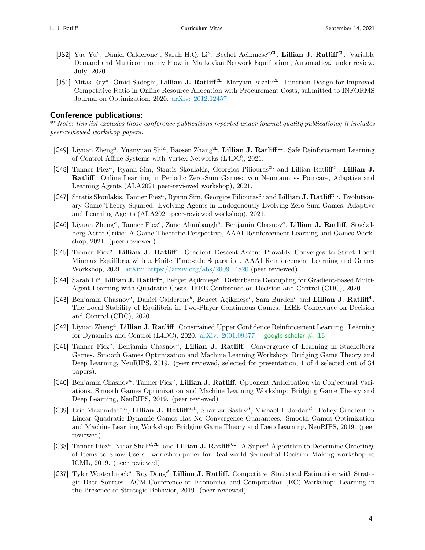- [JS2] Yue Yu<sup>a</sup>, Daniel Calderone<sup>c</sup>, Sarah H.Q. Li<sup>a</sup>, Bechet Acikmese<sup>c,CL</sup>, Lillian J. Ratliff<sup>CL</sup>. Variable Demand and Multicommodity Flow in Markovian Network Equilibrium, Automatica, under review, July. 2020.
- [JS1] Mitas Ray<sup>a</sup>, Omid Sadeghi, Lillian J. Ratliff<sup>CL</sup>, Maryam Fazel<sup>c,CL</sup>. Function Design for Improved Competitive Ratio in Online Resource Allocation with Procurement Costs, submitted to INFORMS Journal on Optimization, 2020. [arXiv: 2012.12457](http://arxiv.org/abs/2012.12457)

#### Conference publications:

\*\*Note: this list excludes those conference publications reported under journal quality publications; it includes peer-reviewed workshop papers.

- [C49] Liyuan Zheng<sup>a</sup>, Yuanyuan Shi<sup>a</sup>, Baosen Zhang<sup>cL</sup>, Lillian J. Ratliff<sup>CL</sup>. Safe Reinforcement Learning of Control-Affine Systems with Vertex Networks (L4DC), 2021.
- [C48] Tanner Fiez<sup>a</sup>, Ryann Sim, Stratis Skoulakis, Georgios Piliouras<sup>CL</sup> and Lillian Ratliff<sup>CL</sup>, Lillian J. Ratliff. Online Learning in Periodic Zero-Sum Games: von Neumann vs Poincare, Adaptive and Learning Agents (ALA2021 peer-reviewed workshop), 2021.
- [C47] Stratis Skoulakis, Tanner Fiez<sup>a</sup>, Ryann Sim, Georgios Piliouras<sup>CL</sup> and Lillian J. Ratliff<sup>CL</sup>. Evolutionary Game Theory Squared: Evolving Agents in Endogenously Evolving Zero-Sum Games, Adaptive and Learning Agents (ALA2021 peer-reviewed workshop), 2021.
- [C46] Liyuan Zheng<sup>a</sup>, Tanner Fiez<sup>a</sup>, Zane Alumbaugh<sup>a</sup>, Benjamin Chasnov<sup>a</sup>, Lillian J. Ratliff. Stackelberg Actor-Critic: A Game-Theoretic Perspective, AAAI Reinforcement Learning and Games Workshop, 2021. (peer reviewed)
- [C45] Tanner Fiez<sup>a</sup>, Lillian J. Ratliff. Gradient Descent-Ascent Provably Converges to Strict Local Minmax Equilibria with a Finite Timescale Separation, AAAI Reinforcement Learning and Games Workshop, 2021. [arXiv: https://arxiv.org/abs/2009.14820](http://arxiv.org/abs/https://arxiv.org/abs/2009.14820) (peer reviewed)
- [C44] Sarah Li<sup>a</sup>, Lillian J. Ratliff<sup>L</sup>, Behçet Açikmeşe<sup>c</sup>. Disturbance Decoupling for Gradient-based Multi-Agent Learning with Quadratic Costs. IEEE Conference on Decision and Control (CDC), 2020.
- [C43] Benjamin Chasnov<sup>a</sup>, Daniel Calderone<sup>b</sup>, Behçet Açikmeşe<sup>c</sup>, Sam Burden<sup>c</sup> and Lillian J. Ratliff<sup>L</sup>. The Local Stability of Equilibria in Two-Player Continuous Games. IEEE Conference on Decision and Control (CDC), 2020.
- [C42] Liyuan Zheng<sup>a</sup>, Lillian J. Ratliff. Constrained Upper Confidence Reinforcement Learning. Learning for Dynamics and Control (L4DC), 2020. arXiv:  $2001.09377$  google scholar  $\#$ : 18
- [C41] Tanner Fiez<sup>a</sup>, Benjamin Chasnov<sup>a</sup>, Lillian J. Ratliff. Convergence of Learning in Stackelberg Games. Smooth Games Optimization and Machine Learning Workshop: Bridging Game Theory and Deep Learning, NeuRIPS, 2019. (peer reviewed, selected for presentation, 1 of 4 selected out of 34 papers).
- [C40] Benjamin Chasnov<sup>a</sup>, Tanner Fiez<sup>a</sup>, Lillian J. Ratliff. Opponent Anticipation via Conjectural Variations. Smooth Games Optimization and Machine Learning Workshop: Bridging Game Theory and Deep Learning, NeuRIPS, 2019. (peer reviewed)
- [C39] Eric Mazumdar<sup>∗,*a*</sup>, Lillian J. Ratliff<sup>∗,L</sup>, Shankar Sastry<sup>d</sup>, Michael I. Jordan<sup>d</sup>. Policy Gradient in Linear Quadratic Dynamic Games Has No Convergence Guarantees. Smooth Games Optimization and Machine Learning Workshop: Bridging Game Theory and Deep Learning, NeuRIPS, 2019. (peer reviewed)
- [C38] Tanner Fiez<sup>a</sup>, Nihar Shah<sup>d, CL</sup>, and Lillian J. Ratliff<sup>CL</sup>. A Super<sup>\*</sup> Algorithm to Determine Orderings of Items to Show Users. workshop paper for Real-world Sequential Decision Making workshop at ICML, 2019. (peer reviewed)
- [C37] Tyler Westenbroek<sup>a</sup>, Roy Dong<sup>d</sup>, Lillian J. Ratliff. Competitive Statistical Estimation with Strategic Data Sources. ACM Conference on Economics and Computation (EC) Workshop: Learning in the Presence of Strategic Behavior, 2019. (peer reviewed)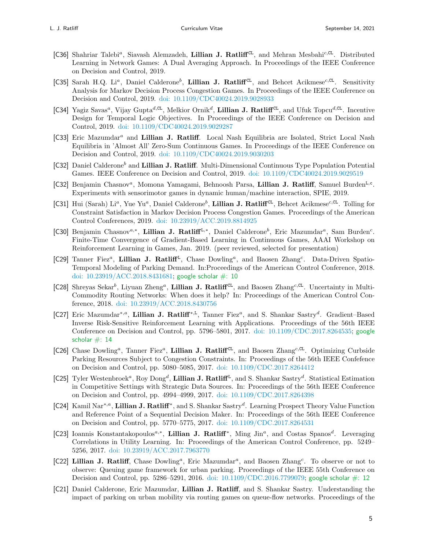- [C36] Shahriar Talebi<sup>a</sup>, Siavash Alemzadeh, Lillian J. Ratliff<sup>CL</sup>, and Mehran Mesbahi<sup>c,CL</sup>. Distributed Learning in Network Games: A Dual Averaging Approach. In Proceedings of the IEEE Conference on Decision and Control, 2019.
- [C35] Sarah H.Q. Li<sup>a</sup>, Daniel Calderone<sup>b</sup>, Lillian J. Ratliff<sup>CL</sup>, and Behcet Acikmese<sup>c,CL</sup>. Sensitivity Analysis for Markov Decision Process Congestion Games. In Proceedings of the IEEE Conference on Decision and Control, 2019. [doi: 10.1109/CDC40024.2019.9028933](http://dx.doi.org/10.1109/CDC40024.2019.9028933)
- [C34] Yagiz Savas<sup>a</sup>, Vijay Gupta<sup>d,CL</sup>, Melkior Ornik<sup>d</sup>, Lillian J. Ratliff<sup>CL</sup>, and Ufuk Topcu<sup>d,CL</sup>. Incentive Design for Temporal Logic Objectives. In Proceedings of the IEEE Conference on Decision and Control, 2019. [doi: 10.1109/CDC40024.2019.9029287](http://dx.doi.org/10.1109/CDC40024.2019.9029287)
- [C33] Eric Mazumdar<sup>a</sup> and Lillian J. Ratliff. Local Nash Equilibria are Isolated, Strict Local Nash Equilibria in 'Almost All' Zero-Sum Continuous Games. In Proceedings of the IEEE Conference on Decision and Control, 2019. [doi: 10.1109/CDC40024.2019.9030203](http://dx.doi.org/10.1109/CDC40024.2019.9030203)
- [C32] Daniel Calderone<sup>b</sup> and Lillian J. Ratliff. Multi-Dimensional Continuous Type Population Potential Games. IEEE Conference on Decision and Control, 2019. [doi: 10.1109/CDC40024.2019.9029519](http://dx.doi.org/10.1109/CDC40024.2019.9029519)
- [C32] Benjamin Chasnov<sup>a</sup>, Momona Yamagami, Behnoosh Parsa, Lillian J. Ratliff, Samuel Burden<sup>L,c</sup>. Experiments with sensorimotor games in dynamic human/machine interaction, SPIE, 2019.
- [C31] Hui (Sarah) Li<sup>a</sup>, Yue Yu<sup>a</sup>, Daniel Calderone<sup>b</sup>, Lillian J. Ratliff<sup>CL</sup>, Behcet Acikmese<sup>c,CL</sup>. Tolling for Constraint Satisfaction in Markov Decision Process Congestion Games. Proceedings of the American Control Conferences, 2019. [doi: 10.23919/ACC.2019.8814925](http://dx.doi.org/10.23919/ACC.2019.8814925)
- [C30] Benjamin Chasnov<sup>a,\*</sup>, Lillian J. Ratliff<sup>L,\*</sup>, Daniel Calderone<sup>b</sup>, Eric Mazumdar<sup>a</sup>, Sam Burden<sup>c</sup>. Finite-Time Convergence of Gradient-Based Learning in Continuous Games, AAAI Workshop on Reinforcement Learning in Games, Jan. 2019. (peer reviewed, selected for presentation)
- [C29] Tanner Fiez<sup>a</sup>, Lillian J. Ratliff<sup>L</sup>, Chase Dowling<sup>a</sup>, and Baosen Zhang<sup>c</sup>. Data-Driven Spatio-Temporal Modeling of Parking Demand. In:Proceedings of the American Control Conference, 2018. [doi: 10.23919/ACC.2018.8431681;](http://dx.doi.org/10.23919/ACC.2018.8431681) [google scholar #: 10](https://scholar.google.com/scholar?oi=bibs&hl=en&authuser=2&cites=14285601939142487277&as_sdt=5)
- [C28] Shreyas Sekar<sup>b</sup>, Liyuan Zheng<sup>a</sup>, Lillian J. Ratliff<sup>CL</sup>, and Baosen Zhang<sup>c,CL</sup>. Uncertainty in Multi-Commodity Routing Networks: When does it help? In: Proceedings of the American Control Conference, 2018. [doi: 10.23919/ACC.2018.8430756](http://dx.doi.org/10.23919/ACC.2018.8430756)
- [C27] Eric Mazumdar<sup>\*,*a*</sup>, Lillian J. Ratliff<sup>\*,L</sup>, Tanner Fiez<sup>a</sup>, and S. Shankar Sastry<sup>d</sup>. Gradient-Based Inverse Risk-Sensitive Reinforcement Learning with Applications. Proceedings of the 56th IEEE Conference on Decision and Control, pp. 5796–5801, 2017. [doi: 10.1109/CDC.2017.8264535;](http://dx.doi.org/10.1109/CDC.2017.8264535) [google](https://scholar.google.com/scholar?oi=bibs&hl=en&authuser=2&cites=4184369894347294213,3321914610121017435&as_sdt=5) scholar  $\#$ : 14
- [C26] Chase Dowling<sup>a</sup>, Tanner Fiez<sup>a</sup>, Lillian J. Ratliff<sup>CL</sup>, and Baosen Zhang<sup>c,CL</sup>. Optimizing Curbside Parking Resources Subject to Congestion Constraints. In: Proceedings of the 56th IEEE Confefence on Decision and Control, pp. 5080–5085, 2017. [doi: 10.1109/CDC.2017.8264412](http://dx.doi.org/10.1109/CDC.2017.8264412)
- [C25] Tyler Westenbroek<sup>a</sup>, Roy Dong<sup>d</sup>, Lillian J. Ratliff<sup>L</sup>, and S. Shankar Sastry<sup>d</sup>. Statistical Estimation in Competitive Settings with Strategic Data Sources. In: Proceedings of the 56th IEEE Conference on Decision and Control, pp. 4994–4999, 2017. [doi: 10.1109/CDC.2017.8264398](http://dx.doi.org/10.1109/CDC.2017.8264398)
- [C24] Kamil Nar<sup>∗,a</sup>, Lillian J. Ratliff<sup>\*</sup>, and S. Shankar Sastry<sup>d</sup>. Learning Prospect Theory Value Function and Reference Point of a Sequential Decision Maker. In: Proceedings of the 56th IEEE Conference on Decision and Control, pp. 5770–5775, 2017. [doi: 10.1109/CDC.2017.8264531](http://dx.doi.org/10.1109/CDC.2017.8264531)
- [C23] Ioannis Konstantakopoulos<sup>a,\*</sup>, Lillian J. Ratliff<sup>\*</sup>, Ming Jin<sup>a</sup>, and Costas Spanos<sup>d</sup>. Leveraging Correlations in Utility Learning. In: Proceedings of the American Control Conference, pp. 5249– 5256, 2017. [doi: 10.23919/ACC.2017.7963770](http://dx.doi.org/10.23919/ACC.2017.7963770)
- [C22] Lillian J. Ratliff, Chase Dowling<sup>a</sup>, Eric Mazumdar<sup>a</sup>, and Baosen Zhang<sup>c</sup>. To observe or not to observe: Queuing game framework for urban parking. Proceedings of the IEEE 55th Conference on Decision and Control, pp. 5286–5291, 2016. [doi: 10.1109/CDC.2016.7799079;](http://dx.doi.org/10.1109/CDC.2016.7799079) [google scholar #: 12](https://scholar.google.com/scholar?oi=bibs&hl=en&authuser=2&cites=237397093702051631&as_sdt=5)
- [C21] Daniel Calderone, Eric Mazumdar, Lillian J. Ratliff, and S. Shankar Sastry. Understanding the impact of parking on urban mobility via routing games on queue-flow networks. Proceedings of the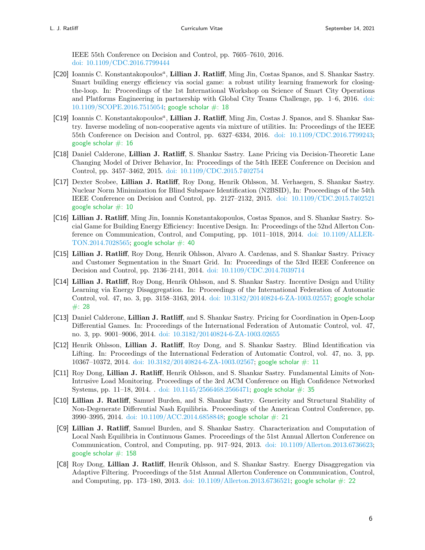IEEE 55th Conference on Decision and Control, pp. 7605–7610, 2016. [doi: 10.1109/CDC.2016.7799444](http://dx.doi.org/10.1109/CDC.2016.7799444)

- [C20] Ioannis C. Konstantakopoulos<sup>a</sup>, Lillian J. Ratliff, Ming Jin, Costas Spanos, and S. Shankar Sastry. Smart building energy efficiency via social game: a robust utility learning framework for closingthe-loop. In: Proceedings of the 1st International Workshop on Science of Smart City Operations and Platforms Engineering in partnership with Global City Teams Challenge, pp. 1–6, 2016. [doi:](http://dx.doi.org/10.1109/SCOPE.2016.7515054) [10.1109/SCOPE.2016.7515054;](http://dx.doi.org/10.1109/SCOPE.2016.7515054) [google scholar #: 18](https://scholar.google.com/scholar?cites=10537783773422630651&as_sdt=5,48&sciodt=0,48&hl=en)
- [C19] Ioannis C. Konstantakopoulos<sup>a</sup>, Lillian J. Ratliff, Ming Jin, Costas J. Spanos, and S. Shankar Sastry. Inverse modeling of non-cooperative agents via mixture of utilities. In: Proceedings of the IEEE 55th Conference on Decision and Control, pp. 6327–6334, 2016. [doi: 10.1109/CDC.2016.7799243;](http://dx.doi.org/10.1109/CDC.2016.7799243) [google scholar #: 16](https://scholar.google.com/scholar?cites=8893396095599387791&as_sdt=5,48&sciodt=0,48&hl=en)
- [C18] Daniel Calderone, Lillian J. Ratliff, S. Shankar Sastry. Lane Pricing via Decision-Theoretic Lane Changing Model of Driver Behavior, In: Proceedings of the 54th IEEE Conference on Decision and Control, pp. 3457–3462, 2015. [doi: 10.1109/CDC.2015.7402754](http://dx.doi.org/10.1109/CDC.2015.7402754)
- [C17] Dexter Scobee, Lillian J. Ratliff, Roy Dong, Henrik Ohlsson, M. Verhaegen, S. Shankar Sastry. Nuclear Norm Minimization for Blind Subspace Identification (N2BSID), In: Proceedings of the 54th IEEE Conference on Decision and Control, pp. 2127–2132, 2015. [doi: 10.1109/CDC.2015.7402521](http://dx.doi.org/10.1109/CDC.2015.7402521) [google scholar #: 10](https://scholar.google.com/scholar?oi=bibs&hl=en&authuser=2&cites=9046514920897606686&as_sdt=5)
- [C16] Lillian J. Ratliff, Ming Jin, Ioannis Konstantakopoulos, Costas Spanos, and S. Shankar Sastry. Social Game for Building Energy Efficiency: Incentive Design. In: Proceedings of the 52nd Allerton Conference on Communication, Control, and Computing, pp. 1011–1018, 2014. [doi: 10.1109/ALLER-](http://dx.doi.org/10.1109/ALLERTON.2014.7028565) $TON.2014.7028565$ ; google scholar  $\#$ : 40
- [C15] Lillian J. Ratliff, Roy Dong, Henrik Ohlsson, Alvaro A. Cardenas, and S. Shankar Sastry. Privacy and Customer Segmentation in the Smart Grid. In: Proceedings of the 53rd IEEE Conference on Decision and Control, pp. 2136–2141, 2014. [doi: 10.1109/CDC.2014.7039714](http://dx.doi.org/10.1109/CDC.2014.7039714)
- [C14] Lillian J. Ratliff, Roy Dong, Henrik Ohlsson, and S. Shankar Sastry. Incentive Design and Utility Learning via Energy Disaggregation. In: Proceedings of the International Federation of Automatic Control, vol. 47, no. 3, pp. 3158–3163, 2014. [doi: 10.3182/20140824-6-ZA-1003.02557;](http://dx.doi.org/10.3182/20140824-6-ZA-1003.02557) [google scholar](https://scholar.google.com/scholar?oi=bibs&hl=en&cites=3556403040367762893) [#: 28](https://scholar.google.com/scholar?oi=bibs&hl=en&cites=3556403040367762893)
- [C13] Daniel Calderone, Lillian J. Ratliff, and S. Shankar Sastry. Pricing for Coordination in Open-Loop Differential Games. In: Proceedings of the International Federation of Automatic Control, vol. 47, no. 3, pp. 9001–9006, 2014. [doi: 10.3182/20140824-6-ZA-1003.02655](http://dx.doi.org/10.3182/20140824-6-ZA-1003.02655)
- [C12] Henrik Ohlsson, Lillian J. Ratliff, Roy Dong, and S. Shankar Sastry. Blind Identification via Lifting. In: Proceedings of the International Federation of Automatic Control, vol. 47, no. 3, pp. 10367–10372, 2014. [doi: 10.3182/20140824-6-ZA-1003.02567;](http://dx.doi.org/10.3182/20140824-6-ZA-1003.02567) [google scholar #: 11](https://scholar.google.com/scholar?oi=bibs&hl=en&authuser=2&cites=6903546181519301365&as_sdt=5)
- [C11] Roy Dong, Lillian J. Ratliff, Henrik Ohlsson, and S. Shankar Sastry. Fundamental Limits of Non-Intrusive Load Monitoring. Proceedings of the 3rd ACM Conference on High Confidence Networked Systems, pp. 11–18, 2014. . [doi: 10.1145/2566468.2566471;](http://dx.doi.org/10.1145/2566468.2566471) [google scholar #: 35](https://scholar.google.com/scholar?oi=bibs&hl=en&cites=954569453835153610)
- [C10] Lillian J. Ratliff, Samuel Burden, and S. Shankar Sastry. Genericity and Structural Stability of Non-Degenerate Differential Nash Equilibria. Proceedings of the American Control Conference, pp. 3990–3995, 2014. [doi: 10.1109/ACC.2014.6858848;](http://dx.doi.org/10.1109/ACC.2014.6858848) [google scholar #: 21](https://scholar.google.com/scholar?cites=4216976763728938372&as_sdt=5,48&sciodt=0,48&hl=en)
- [C9] Lillian J. Ratliff, Samuel Burden, and S. Shankar Sastry. Characterization and Computation of Local Nash Equilibria in Continuous Games. Proceedings of the 51st Annual Allerton Conference on Communication, Control, and Computing, pp. 917–924, 2013. [doi: 10.1109/Allerton.2013.6736623;](http://dx.doi.org/10.1109/Allerton.2013.6736623) [google scholar #: 158](https://scholar.google.com/scholar?oi=bibs&hl=en&cites=15794502017770984547)
- [C8] Roy Dong, Lillian J. Ratliff, Henrik Ohlsson, and S. Shankar Sastry. Energy Disaggregation via Adaptive Filtering. Proceedings of the 51st Annual Allerton Conference on Communication, Control, and Computing, pp. 173–180, 2013. [doi: 10.1109/Allerton.2013.6736521;](http://dx.doi.org/10.1109/Allerton.2013.6736521) [google scholar #: 22](https://scholar.google.com/scholar?oi=bibs&hl=en&cites=4215900277462127000)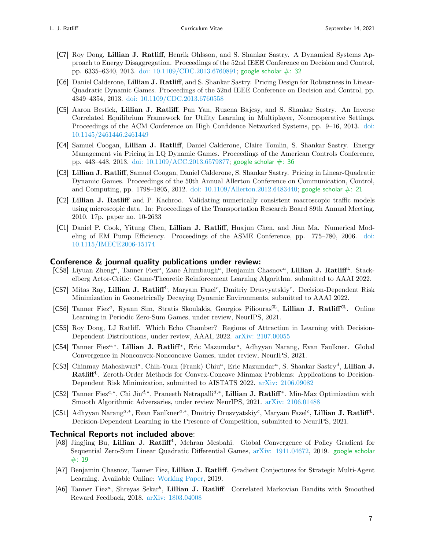- [C7] Roy Dong, Lillian J. Ratliff, Henrik Ohlsson, and S. Shankar Sastry. A Dynamical Systems Approach to Energy Disaggregation. Proceedings of the 52nd IEEE Conference on Decision and Control, pp. 6335–6340, 2013. doi:  $10.1109$ /CDC.2013.6760891; google scholar  $\#$ : 32
- [C6] Daniel Calderone, Lillian J. Ratliff, and S. Shankar Sastry. Pricing Design for Robustness in Linear-Quadratic Dynamic Games. Proceedings of the 52nd IEEE Conference on Decision and Control, pp. 4349–4354, 2013. [doi: 10.1109/CDC.2013.6760558](http://dx.doi.org/10.1109/CDC.2013.6760558)
- [C5] Aaron Bestick, Lillian J. Ratliff, Pan Yan, Ruzena Bajcsy, and S. Shankar Sastry. An Inverse Correlated Equilibrium Framework for Utility Learning in Multiplayer, Noncooperative Settings. Proceedings of the ACM Conference on High Confidence Networked Systems, pp. 9–16, 2013. [doi:](http://dx.doi.org/10.1145/2461446.2461449) [10.1145/2461446.2461449](http://dx.doi.org/10.1145/2461446.2461449)
- [C4] Samuel Coogan, Lillian J. Ratliff, Daniel Calderone, Claire Tomlin, S. Shankar Sastry. Energy Management via Pricing in LQ Dynamic Games. Proceedings of the American Controls Conference, pp. 443–448, 2013. [doi: 10.1109/ACC.2013.6579877;](http://dx.doi.org/10.1109/ACC.2013.6579877) [google scholar #: 36](https://scholar.google.com/scholar?oi=bibs&hl=en&cites=7787100110916952376)
- [C3] Lillian J. Ratliff, Samuel Coogan, Daniel Calderone, S. Shankar Sastry. Pricing in Linear-Quadratic Dynamic Games. Proceedings of the 50th Annual Allerton Conference on Communication, Control, and Computing, pp. 1798–1805, 2012. [doi: 10.1109/Allerton.2012.6483440;](http://dx.doi.org/10.1109/Allerton.2012.6483440) google scholar  $\#$ : 21
- [C2] Lillian J. Ratliff and P. Kachroo. Validating numerically consistent macroscopic traffic models using microscopic data. In: Proceedings of the Transportation Research Board 89th Annual Meeting, 2010. 17p. paper no. 10-2633
- [C1] Daniel P. Cook, Yitung Chen, Lillian J. Ratliff, Huajun Chen, and Jian Ma. Numerical Modeling of EM Pump Efficiency. Proceedings of the ASME Conference, pp. 775–780, 2006. [doi:](http://dx.doi.org/10.1115/IMECE2006-15174) [10.1115/IMECE2006-15174](http://dx.doi.org/10.1115/IMECE2006-15174)

#### Conference & journal quality publications under review:

- [CS8] Liyuan Zheng<sup>a</sup>, Tanner Fiez<sup>a</sup>, Zane Alumbaugh<sup>a</sup>, Benjamin Chasnov<sup>a</sup>, Lillian J. Ratliff<sup>L</sup>. Stackelberg Actor-Critic: Game-Theoretic Reinforcement Learning Algorithm. submitted to AAAI 2022.
- [CS7] Mitas Ray, Lillian J. Ratliff<sup>L</sup>, Maryam Fazel<sup>c</sup>, Dmitriy Drusvyatskiy<sup>c</sup>. Decision-Dependent Risk Minimization in Geometrically Decaying Dynamic Environments, submitted to AAAI 2022.
- [CS6] Tanner Fiez<sup>a</sup>, Ryann Sim, Stratis Skoulakis, Georgios Piliouras<sup>CL</sup>, Lillian J. Ratliff<sup>CL</sup>. Online Learning in Periodic Zero-Sum Games, under review, NeurIPS, 2021.
- [CS5] Roy Dong, LJ Ratliff. Which Echo Chamber? Regions of Attraction in Learning with Decision-Dependent Distributions, under review, AAAI, 2022. [arXiv: 2107.00055](http://arxiv.org/abs/2107.00055)
- [CS4] Tanner Fiez<sup>a,\*</sup>, Lillian J. Ratliff<sup>\*</sup>, Eric Mazumdar<sup>a</sup>, Adhyyan Narang, Evan Faulkner. Global Convergence in Nonconvex-Nonconcave Games, under review, NeurIPS, 2021.
- [CS3] Chinmay Maheshwari<sup>a</sup>, Chih-Yuan (Frank) Chiu<sup>a</sup>, Eric Mazumdar<sup>a</sup>, S. Shankar Sastry<sup>d</sup>, Lillian J. Ratliff<sup>L</sup>. Zeroth-Order Methods for Convex-Concave Minmax Problems: Applications to Decision-Dependent Risk Minimization, submitted to AISTATS 2022. [arXiv: 2106.09082](http://arxiv.org/abs/2106.09082)
- [CS2] Tanner Fiez<sup>a,\*</sup>, Chi Jin<sup>d,\*</sup>, Praneeth Netrapalli<sup>d,\*</sup>, Lillian J. Ratliff<sup>\*</sup>. Min-Max Optimization with Smooth Algorithmic Adversaries, under review NeurIPS, 2021. [arXiv: 2106.01488](http://arxiv.org/abs/2106.01488)
- [CS1] Adhyyan Narang<sup>a,∗</sup>, Evan Faulkner<sup>a,∗</sup>, Dmitriy Drusvyatskiy<sup>c</sup>, Maryam Fazel<sup>c</sup>, Lillian J. Ratliff<sup>L</sup>. Decision-Dependent Learning in the Presence of Competition, submitted to NeurIPS, 2021.

#### Technical Reports not included above:

- [A8] Jingjing Bu, Lillian J. Ratliff<sup>L</sup>, Mehran Mesbahi. Global Convergence of Policy Gradient for Sequential Zero-Sum Linear Quadratic Differential Games, [arXiv: 1911.04672,](http://arxiv.org/abs/1911.04672) 2019. [google scholar](https://scholar.google.com/scholar?oi=bibs&hl=en&authuser=2&cites=13493389952909240166&as_sdt=5)  $#: 19$
- [A7] Benjamin Chasnov, Tanner Fiez, Lillian J. Ratliff. Gradient Conjectures for Strategic Multi-Agent Learning. Available Online: [Working Paper,](https://faculty.washington.edu/ratliffl/research/2019conjectures.pdf) 2019.
- [A6] Tanner Fiez<sup>a</sup>, Shreyas Sekar<sup>b</sup>, Lillian J. Ratliff. Correlated Markovian Bandits with Smoothed Reward Feedback, 2018. [arXiv: 1803.04008](http://arxiv.org/abs/1803.04008)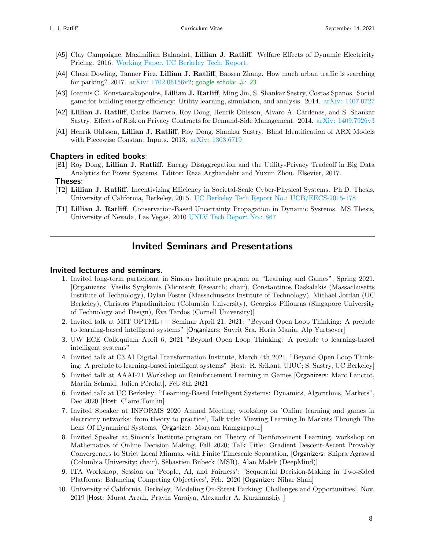- [A5] Clay Campaigne, Maximilian Balandat, Lillian J. Ratliff. Welfare Effects of Dynamic Electricity Pricing. 2016. [Working Paper, UC Berkeley Tech. Report.](https://www.ocf.berkeley.edu/~clay/file/SimulatingDynamicTariffs.pdf)
- [A4] Chase Dowling, Tanner Fiez, Lillian J. Ratliff, Baosen Zhang. How much urban traffic is searching for parking? 2017. arXiv:  $1702.06156v2$ ; google scholar  $\#$ : 23
- [A3] Ioannis C. Konstantakopoulos, Lillian J. Ratliff, Ming Jin, S. Shankar Sastry, Costas Spanos. Social game for building energy efficiency: Utility learning, simulation, and analysis. 2014. [arXiv: 1407.0727](http://arxiv.org/abs/1407.0727)
- [A2] Lillian J. Ratliff, Carlos Barreto, Roy Dong, Henrik Ohlsson, Alvaro A. Cárdenas, and S. Shankar Sastry. Effects of Risk on Privacy Contracts for Demand-Side Management. 2014. [arXiv: 1409.7926v3](http://arxiv.org/abs/1409.7926v3)
- [A1] Henrik Ohlsson, Lillian J. Ratliff, Roy Dong, Shankar Sastry. Blind Identification of ARX Models with Piecewise Constant Inputs. 2013. [arXiv: 1303.6719](http://arxiv.org/abs/1303.6719)

#### Chapters in edited books:

[B1] Roy Dong, Lillian J. Ratliff. Energy Disaggregation and the Utility-Privacy Tradeoff in Big Data Analytics for Power Systems. Editor: Reza Arghandehr and Yuxun Zhou. Elsevier, 2017.

#### Theses:

- [T2] Lillian J. Ratliff. Incentivizing Efficiency in Societal-Scale Cyber-Physical Systems. Ph.D. Thesis, University of California, Berkeley, 2015. [UC Berkeley Tech Report No.: UCB/EECS-2015-178](https://www2.eecs.berkeley.edu/Pubs/TechRpts/2015/EECS-2015-178.html)
- [T1] Lillian J. Ratliff. Conservation-Based Uncertainty Propagation in Dynamic Systems. MS Thesis, University of Nevada, Las Vegas, 2010 [UNLV Tech Report No.: 867](https://digitalscholarship.unlv.edu/thesesdissertations/867/ )

### Invited Seminars and Presentations

#### Invited lectures and seminars.

- 1. Invited long-term participant in Simons Institute program on "Learning and Games", Spring 2021. [Organizers: Vasilis Syrgkanis (Microsoft Research; chair), Constantinos Daskalakis (Massachusetts Institute of Technology), Dylan Foster (Massachusetts Institute of Technology), Michael Jordan (UC Berkeley), Christos Papadimitriou (Columbia University), Georgios Piliouras (Singapore University of Technology and Design), Eva Tardos (Cornell University)] ´
- 2. Invited talk at MIT OPTML++ Seminar April 21, 2021: "Beyond Open Loop Thinking: A prelude to learning-based intelligent systems" [Organizers: Suvrit Sra, Horia Mania, Alp Yurtsever]
- 3. UW ECE Colloquium April 6, 2021 "Beyond Open Loop Thinking: A prelude to learning-based intelligent systems"
- 4. Invited talk at C3.AI Digital Transformation Institute, March 4th 2021, "Beyond Open Loop Thinking: A prelude to learning-based intelligent systems" [Host: R. Srikant, UIUC; S. Sastry, UC Berkeley]
- 5. Invited talk at AAAI-21 Workshop on Reinforcement Learning in Games [Organizers: Marc Lanctot, Martin Schmid, Julien Pérolat, Feb 8th 2021
- 6. Invited talk at UC Berkeley: "Learning-Based Intelligent Systems: Dynamics, Algorithms, Markets", Dec 2020 [Host: Claire Tomlin]
- 7. Invited Speaker at INFORMS 2020 Annual Meeting; workshop on 'Online learning and games in electricity networks: from theory to practice', Talk title: Viewing Learning In Markets Through The Lens Of Dynamical Systems, [Organizer: Maryam Kamgarpour]
- 8. Invited Speaker at Simon's Institute program on Theory of Reinforcement Learning, workshop on Mathematics of Online Decision Making, Fall 2020; Talk Title: Gradient Descent-Ascent Provably Convergences to Strict Local Minmax with Finite Timescale Separation, [Organizers: Shipra Agrawal (Columbia University; chair), Sèbastien Bubeck (MSR), Alan Malek (DeepMind)]
- 9. ITA Workshop, Session on 'People, AI, and Fairness': 'Sequential Decision-Making in Two-Sided Platforms: Balancing Competing Objectives', Feb. 2020 [Organizer: Nihar Shah]
- 10. University of California, Berkeley, 'Modeling On-Street Parking: Challenges and Opportunities', Nov. 2019 [Host: Murat Arcak, Pravin Varaiya, Alexander A. Kurzhanskiy ]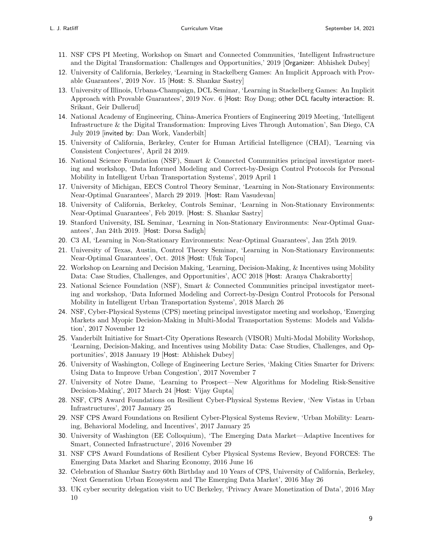- 11. NSF CPS PI Meeting, Workshop on Smart and Connected Communities, 'Intelligent Infrastructure and the Digital Transformation: Challenges and Opportunities,' 2019 [Organizer: Abhishek Dubey]
- 12. University of California, Berkeley, 'Learning in Stackelberg Games: An Implicit Approach with Provable Guarantees', 2019 Nov. 15 [Host: S. Shankar Sastry]
- 13. University of Illinois, Urbana-Champaign, DCL Seminar, 'Learning in Stackelberg Games: An Implicit Approach with Provable Guarantees', 2019 Nov. 6 [Host: Roy Dong; other DCL faculty interaction: R. Srikant, Geir Dullerud]
- 14. National Academy of Engineering, China-America Frontiers of Engineering 2019 Meeting, 'Intelligent Infrastructure & the Digital Transformation: Improving Lives Through Automation', San Diego, CA July 2019 [invited by: Dan Work, Vanderbilt]
- 15. University of California, Berkeley, Center for Human Artificial Intelligence (CHAI), 'Learning via Consistent Conjectures', April 24 2019.
- 16. National Science Foundation (NSF), Smart & Connected Communities principal investigator meeting and workshop, 'Data Informed Modeling and Correct-by-Design Control Protocols for Personal Mobility in Intelligent Urban Transportation Systems', 2019 April 1
- 17. University of Michigan, EECS Control Theory Seminar, 'Learning in Non-Stationary Environments: Near-Optimal Guarantees', March 29 2019. [Host: Ram Vasudevan]
- 18. University of California, Berkeley, Controls Seminar, 'Learning in Non-Stationary Environments: Near-Optimal Guarantees', Feb 2019. [Host: S. Shankar Sastry]
- 19. Stanford University, ISL Seminar, 'Learning in Non-Stationary Environments: Near-Optimal Guarantees', Jan 24th 2019. [Host: Dorsa Sadigh]
- 20. C3 AI, 'Learning in Non-Stationary Environments: Near-Optimal Guarantees', Jan 25th 2019.
- 21. University of Texas, Austin, Control Theory Seminar, 'Learning in Non-Stationary Environments: Near-Optimal Guarantees', Oct. 2018 [Host: Ufuk Topcu]
- 22. Workshop on Learning and Decision Making, 'Learning, Decision-Making, & Incentives using Mobility Data: Case Studies, Challenges, and Opportunities', ACC 2018 [Host: Aranya Chakrabortty]
- 23. National Science Foundation (NSF), Smart & Connected Communities principal investigator meeting and workshop, 'Data Informed Modeling and Correct-by-Design Control Protocols for Personal Mobility in Intelligent Urban Transportation Systems', 2018 March 26
- 24. NSF, Cyber-Physical Systems (CPS) meeting principal investigator meeting and workshop, 'Emerging Markets and Myopic Decision-Making in Multi-Modal Transportation Systems: Models and Validation', 2017 November 12
- 25. Vanderbilt Initiative for Smart-City Operations Research (VISOR) Multi-Modal Mobility Workshop, 'Learning, Decision-Making, and Incentives using Mobility Data: Case Studies, Challenges, and Opportunities', 2018 January 19 [Host: Abhishek Dubey]
- 26. University of Washington, College of Engineering Lecture Series, 'Making Cities Smarter for Drivers: Using Data to Improve Urban Congestion', 2017 November 7
- 27. University of Notre Dame, 'Learning to Prospect—New Algorithms for Modeling Risk-Sensitive Decision-Making', 2017 March 24 [Host: Vijay Gupta]
- 28. NSF, CPS Award Foundations on Resilient Cyber-Physical Systems Review, 'New Vistas in Urban Infrastructures', 2017 January 25
- 29. NSF CPS Award Foundations on Resilient Cyber-Physical Systems Review, 'Urban Mobility: Learning, Behavioral Modeling, and Incentives', 2017 January 25
- 30. University of Washington (EE Colloquium), 'The Emerging Data Market—Adaptive Incentives for Smart, Connected Infrastructure', 2016 November 29
- 31. NSF CPS Award Foundations of Resilient Cyber Physical Systems Review, Beyond FORCES: The Emerging Data Market and Sharing Economy, 2016 June 16
- 32. Celebration of Shankar Sastry 60th Birthday and 10 Years of CPS, University of California, Berkeley, 'Next Generation Urban Ecosystem and The Emerging Data Market', 2016 May 26
- 33. UK cyber security delegation visit to UC Berkeley, 'Privacy Aware Monetization of Data', 2016 May 10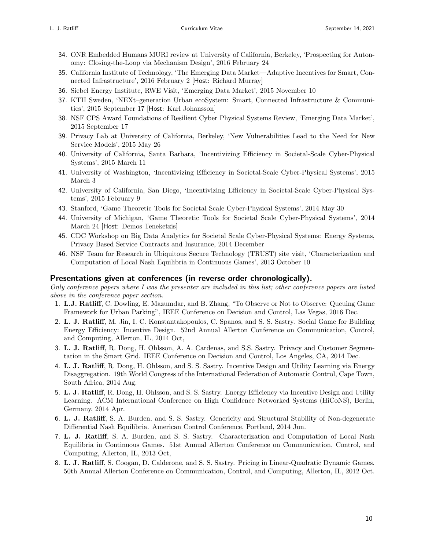- 34. ONR Embedded Humans MURI review at University of California, Berkeley, 'Prospecting for Autonomy: Closing-the-Loop via Mechanism Design', 2016 February 24
- 35. California Institute of Technology, 'The Emerging Data Market—Adaptive Incentives for Smart, Connected Infrastructure', 2016 February 2 [Host: Richard Murray]
- 36. Siebel Energy Institute, RWE Visit, 'Emerging Data Market', 2015 November 10
- 37. KTH Sweden, 'NEXt–generation Urban ecoSystem: Smart, Connected Infrastructure & Communities', 2015 September 17 [Host: Karl Johansson]
- 38. NSF CPS Award Foundations of Resilient Cyber Physical Systems Review, 'Emerging Data Market', 2015 September 17
- 39. Privacy Lab at University of California, Berkeley, 'New Vulnerabilities Lead to the Need for New Service Models', 2015 May 26
- 40. University of California, Santa Barbara, 'Incentivizing Efficiency in Societal-Scale Cyber-Physical Systems', 2015 March 11
- 41. University of Washington, 'Incentivizing Efficiency in Societal-Scale Cyber-Physical Systems', 2015 March 3
- 42. University of California, San Diego, 'Incentivizing Efficiency in Societal-Scale Cyber-Physical Systems', 2015 February 9
- 43. Stanford, 'Game Theoretic Tools for Societal Scale Cyber-Physical Systems', 2014 May 30
- 44. University of Michigan, 'Game Theoretic Tools for Societal Scale Cyber-Physical Systems', 2014 March 24 [Host: Demos Teneketzis]
- 45. CDC Workshop on Big Data Analytics for Societal Scale Cyber-Physical Systems: Energy Systems, Privacy Based Service Contracts and Insurance, 2014 December
- 46. NSF Team for Research in Ubiquitous Secure Technology (TRUST) site visit, 'Characterization and Computation of Local Nash Equilibria in Continuous Games', 2013 October 10

#### Presentations given at conferences (in reverse order chronologically).

Only conference papers where I was the presenter are included in this list; other conference papers are listed above in the conference paper section.

- 1. L.J. Ratliff, C. Dowling, E. Mazumdar, and B. Zhang, "To Observe or Not to Observe: Queuing Game Framework for Urban Parking", IEEE Conference on Decision and Control, Las Vegas, 2016 Dec.
- 2. L. J. Ratliff, M. Jin, I. C. Konstantakopoulos, C. Spanos, and S. S. Sastry. Social Game for Building Energy Efficiency: Incentive Design. 52nd Annual Allerton Conference on Communication, Control, and Computing, Allerton, IL, 2014 Oct,
- 3. L. J. Ratliff, R. Dong, H. Ohlsson, A. A. Cardenas, and S.S. Sastry. Privacy and Customer Segmentation in the Smart Grid. IEEE Conference on Decision and Control, Los Angeles, CA, 2014 Dec.
- 4. L. J. Ratliff, R. Dong, H. Ohlsson, and S. S. Sastry. Incentive Design and Utility Learning via Energy Disaggregation. 19th World Congress of the International Federation of Automatic Control, Cape Town, South Africa, 2014 Aug.
- 5. L. J. Ratliff, R. Dong, H. Ohlsson, and S. S. Sastry. Energy Efficiency via Incentive Design and Utility Learning. ACM International Conference on High Confidence Networked Systems (HiCoNS), Berlin, Germany, 2014 Apr.
- 6. L. J. Ratliff, S. A. Burden, and S. S. Sastry. Genericity and Structural Stability of Non-degenerate Differential Nash Equilibria. American Control Conference, Portland, 2014 Jun.
- 7. L. J. Ratliff, S. A. Burden, and S. S. Sastry. Characterization and Computation of Local Nash Equilibria in Continuous Games. 51st Annual Allerton Conference on Communication, Control, and Computing, Allerton, IL, 2013 Oct,
- 8. L. J. Ratliff, S. Coogan, D. Calderone, and S. S. Sastry. Pricing in Linear-Quadratic Dynamic Games. 50th Annual Allerton Conference on Communication, Control, and Computing, Allerton, IL, 2012 Oct.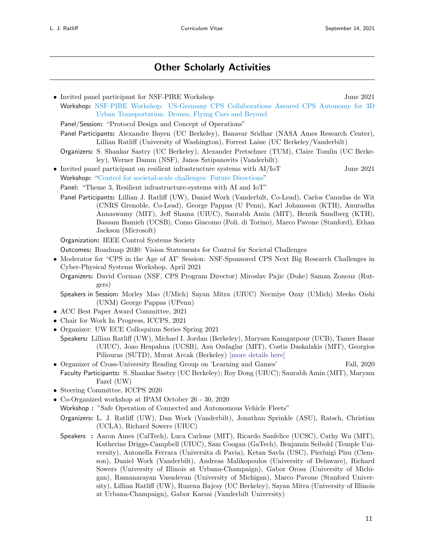### Other Scholarly Activities

• Invited panel participant for NSF-PIRE Workshop June 2021 Workshop: [NSF-PIRE Workshop: US-Germany CPS Collaborations Assured CPS Autonomy for 3D](https://cps-vo.org/group/3D-urban-transportation-workshop) [Urban Transportation: Drones, Flying Cars and Beyond](https://cps-vo.org/group/3D-urban-transportation-workshop) Panel/Session: "Protocol Design and Concept of Operations" Panel Participants: Alexandre Bayen (UC Berkeley), Banavar Sridhar (NASA Ames Research Center), Lillian Ratliff (University of Washington), Forrest Laine (UC Berkeley/Vanderbilt) Organizers: S. Shankar Sastry (UC Berkeley), Alexander Pretschner (TUM), Claire Tomlin (UC Berkeley), Werner Damm (NSF), Janos Sztipanovits (Vanderbilt). • Invited panel participant on resilient infrastructure systems with  $AI/IOT$  June 2021 Workshop: ["Control for societal-scale challenges: Future Directions"](https://state-space.ieeecss.org/d/37-roadmap-2030-vision-statements-for-control-for-societal-challenges-virtual) Panel: "Theme 3, Resilient infrastructure-systems with AI and IoT" Panel Participants: Lillian J. Ratliff (UW), Daniel Work (Vanderbilt, Co-Lead), Carlos Canudas de Wit (CNRS Grenoble, Co-Lead), George Pappas (U Penn), Karl Johansson (KTH), Anuradha Annaswamy (MIT), Jeff Shama (UIUC), Saurabh Amin (MIT), Henrik Sandberg (KTH), Bassam Bamieh (UCSB), Como Giacomo (Poli. di Torino), Marco Pavone (Stanford), Ethan Jackson (Microsoft) Organization: IEEE Control Systems Society Outcomes: Roadmap 2030: Vision Statements for Control for Societal Challenges • Moderator for "CPS in the Age of AI" Session: NSF-Sponsored CPS Next Big Research Challenges in Cyber-Physical Systems Workshop, April 2021 Organizers: David Corman (NSF, CPS Program Director) Miroslav Pajic (Duke) Saman Zonouz (Rutgers) Speakers in Session: Morley Mao (UMich) Sayan Mitra (UIUC) Necmiye Ozay (UMich) Meeko Oishi (UNM) George Pappas (UPenn) • ACC Best Paper Award Committee, 2021 • Chair for Work In Progress, ICCPS, 2021 • Organizer: UW ECE Colloquium Series Spring 2021 Speakers: Lillian Ratliff (UW), Michael I. Jordan (Berkeley), Maryam Kamgarpour (UCB), Tamer Basar (UIUC), Joao Hespahna (UCSB), Asu Ozdaglar (MIT), Costis Daskalakis (MIT), Georgios Piliouras (SUTD), Murat Arcak (Berkeley) [\[more details here\]](https://www.ece.uw.edu/wp-content/uploads/2021/03/Colloquium-SPRING-2021-ALL-v3b.pdf) • Organizer of Cross-University Reading Group on 'Learning and Games' Fall, 2020 Faculty Participants: S. Shankar Sastry (UC Berkeley); Roy Dong (UIUC); Saurabh Amin (MIT), Maryam Fazel (UW) • Steering Committee, ICCPS 2020 • Co-Organized workshop at IPAM October 26 - 30, 2020 Workshop : "Safe Operation of Connected and Autonomous Vehicle Fleets" Organizers: L. J. Ratliff (UW), Dan Work (Vanderbilt), Jonathan Sprinkle (ASU), Ratsch, Christian (UCLA), Richard Sowers (UIUC) Speakers : Aaron Ames (CalTech), Luca Carlone (MIT), Ricardo Sanfelice (UCSC), Cathy Wu (MIT), Katherine Driggs-Campbell (UIUC), Sam Coogan (GaTech), Benjamin Seibold (Temple University), Antonella Ferrara (Universita di Pavia), Ketan Savla (USC), Pierluigi Pisu (Clemson), Daniel Work (Vanderbilt), Andreas Malikopoulos (University of Delaware), Richard Sowers (University of Illinois at Urbana-Champaign), Gabor Orosz (University of Michigan), Ramanarayan Vasudevan (University of Michigan), Marco Pavone (Stanford University), Lillian Ratliff (UW), Ruzena Bajcsy (UC Berkeley), Sayan Mitra (University of Illinois at Urbana-Champaign), Gabor Karsai (Vanderbilt University)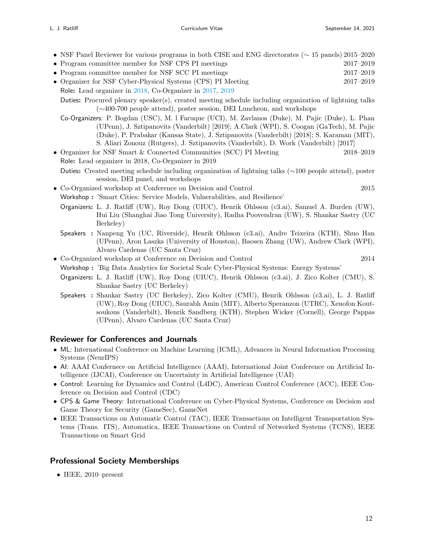- NSF Panel Reviewer for various programs in both CISE and ENG directorates (∼ 15 panels) 2015–2020
- Program committee member for NSF CPS PI meetings 2017–2019
- Program committee member for NSF SCC PI meetings 2017–2019

• Organizer for NSF Cyber-Physical Systems (CPS) PI Meeting 2017–2019 Role: Lead organizer in [2018,](https://cps-vo.org/node/62829) Co-Organizer in [2017,](https://cps-vo.org/group/cps-pimtg17/agenda) [2019](https://cps-vo.org/node/66748)

Duties: Procured plenary speaker(s), created meeting schedule including organization of lightning talks (∼400-700 people attend), poster session, DEI Luncheon, and workshops

Co-Organizers: P. Bogdan (USC), M. l Faruque (UCI), M. Zavlanos (Duke), M. Pajic (Duke), L. Phan (UPenn), J. Sztipanovits (Vanderbilt) [2019]; A.Clark (WPI), S. Coogan (GaTech), M. Pajic (Duke), P. Prabakar (Kansas State), J. Sztipanovits (Vanderbilt) [2018]; S. Karaman (MIT), S. Aliari Zonouz (Rutgers), J. Sztipanovits (Vanderbilt), D. Work (Vanderbilt) [2017]

- Organizer for NSF Smart & Connected Communities (SCC) PI Meeting 2018–2019 Role: Lead organizer in 2018, Co-Organizer in 2019
- Duties: Created meeting schedule including organization of lightning talks (∼100 people attend), poster session, DEI panel, and workshops
- Co-Organized workshop at Conference on Decision and Control 2015 Workshop : 'Smart Cities: Service Models, Vulnerabilities, and Resilience'
	- Organizers: L. J. Ratliff (UW), Roy Dong (UIUC), Henrik Ohlsson (c3.ai), Samuel A. Burden (UW), Hui Liu (Shanghai Jiao Tong University), Radha Poovendran (UW), S. Shankar Sastry (UC Berkeley)
	- Speakers : Nanpeng Yu (UC, Riverside), Henrik Ohlsson (c3.ai), Andre Teixeira (KTH), Shuo Han (UPenn), Aron Laszka (University of Houston), Baosen Zhang (UW), Andrew Clark (WPI), Alvaro Cardenas (UC Santa Cruz)
- Co-Organized workshop at Conference on Decision and Control 2014 Workshop : 'Big Data Analytics for Societal Scale Cyber-Physical Systems: Energy Systems'
	- Organizers: L. J. Ratliff (UW), Roy Dong (UIUC), Henrik Ohlsson (c3.ai), J. Zico Kolter (CMU), S. Shankar Sastry (UC Berkeley)
	- Speakers : Shankar Sastry (UC Berkeley), Zico Kolter (CMU), Henrik Ohlsson (c3.ai), L. J. Ratliff (UW), Roy Dong (UIUC), Saurabh Amin (MIT), Alberto Speranzon (UTRC), Xenofon Koutsoukous (Vanderbilt), Henrik Sandberg (KTH), Stephen Wicker (Cornell), George Pappas (UPenn), Alvaro Cardenas (UC Santa Cruz)

#### Reviewer for Conferences and Journals

- ML: International Conference on Machine Learning (ICML), Advances in Neural Information Processing Systems (NeurIPS)
- AI: AAAI Confernece on Artificial Intelligence (AAAI), International Joint Conference on Artificial Intelligence (IJCAI), Conference on Uncertainty in Artificial Intelligence (UAI)
- Control: Learning for Dynamics and Control (L4DC), American Control Conference (ACC), IEEE Conference on Decision and Control (CDC)
- CPS & Game Theory: International Conference on Cyber-Physical Systems, Conference on Decision and Game Theory for Security (GameSec), GameNet
- IEEE Transactions on Automatic Control (TAC), IEEE Transactions on Intelligent Transportation Systems (Trans. ITS), Automatica, IEEE Transactions on Control of Networked Systems (TCNS), IEEE Transactions on Smart Grid

#### Professional Society Memberships

• IEEE, 2010–present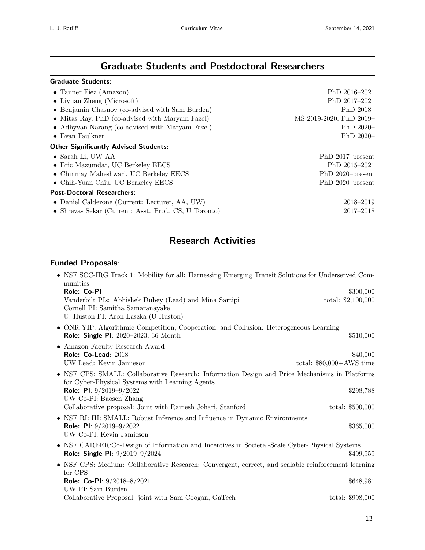## Graduate Students and Postdoctoral Researchers

### Graduate Students:

| • Tanner Fiez (Amazon)                                | PhD 2016-2021           |
|-------------------------------------------------------|-------------------------|
| $\bullet$ Liyuan Zheng (Microsoft)                    | PhD 2017-2021           |
| • Benjamin Chasnov (co-advised with Sam Burden)       | PhD $2018-$             |
| • Mitas Ray, PhD (co-advised with Maryam Fazel)       | MS 2019-2020, PhD 2019- |
| • Adhyyan Narang (co-advised with Maryam Fazel)       | PhD $2020-$             |
| $\bullet$ Evan Faulkner                               | PhD $2020-$             |
| <b>Other Significantly Advised Students:</b>          |                         |
| $\bullet$ Sarah Li, UW AA                             | PhD 2017-present        |
| • Eric Mazumdar, UC Berkeley EECS                     | PhD 2015-2021           |
| • Chinmay Maheshwari, UC Berkeley EECS                | PhD 2020-present        |
| • Chih-Yuan Chiu, UC Berkeley EECS                    | PhD 2020-present        |
| <b>Post-Doctoral Researchers:</b>                     |                         |
| • Daniel Calderone (Current: Lecturer, AA, UW)        | 2018-2019               |
| • Shreyas Sekar (Current: Asst. Prof., CS, U Toronto) | $2017 - 2018$           |
|                                                       |                         |

## Research Activities

#### Funded Proposals:

| • NSF SCC-IRG Track 1: Mobility for all: Harnessing Emerging Transit Solutions for Underserved Com-<br>munities                                   |                           |
|---------------------------------------------------------------------------------------------------------------------------------------------------|---------------------------|
| Role: Co-PI                                                                                                                                       | \$300,000                 |
| Vanderbilt PIs: Abhishek Dubey (Lead) and Mina Sartipi<br>Cornell PI: Samitha Samaranayake<br>U. Huston PI: Aron Laszka (U Huston)                | total: $$2,100,000$       |
| • ONR YIP: Algorithmic Competition, Cooperation, and Collusion: Heterogeneous Learning                                                            |                           |
| <b>Role: Single PI:</b> 2020-2023, 36 Month                                                                                                       | \$510,000                 |
| • Amazon Faculty Research Award                                                                                                                   |                           |
| Role: Co-Lead: 2018                                                                                                                               | \$40,000                  |
| UW Lead: Kevin Jamieson                                                                                                                           | total: $$80,000+AWS$ time |
| • NSF CPS: SMALL: Collaborative Research: Information Design and Price Mechanisms in Platforms<br>for Cyber-Physical Systems with Learning Agents |                           |
| Role: PI: $9/2019-9/2022$                                                                                                                         | \$298,788                 |
| UW Co-PI: Baosen Zhang                                                                                                                            |                           |
| Collaborative proposal: Joint with Ramesh Johari, Stanford                                                                                        | total: $$500,000$         |
| • NSF RI: III: SMALL: Robust Inference and Influence in Dynamic Environments                                                                      |                           |
| <b>Role: PI:</b> $9/2019-9/2022$<br>UW Co-PI: Kevin Jamieson                                                                                      | \$365,000                 |
| • NSF CAREER:Co-Design of Information and Incentives in Societal-Scale Cyber-Physical Systems<br>Role: Single PI: 9/2019-9/2024                   | \$499,959                 |
| • NSF CPS: Medium: Collaborative Research: Convergent, correct, and scalable reinforcement learning<br>for CPS                                    |                           |
| Role: Co-PI: $9/2018-8/2021$                                                                                                                      | \$648,981                 |
| UW PI: Sam Burden                                                                                                                                 |                           |
| Collaborative Proposal: joint with Sam Coogan, GaTech                                                                                             | total: \$998,000          |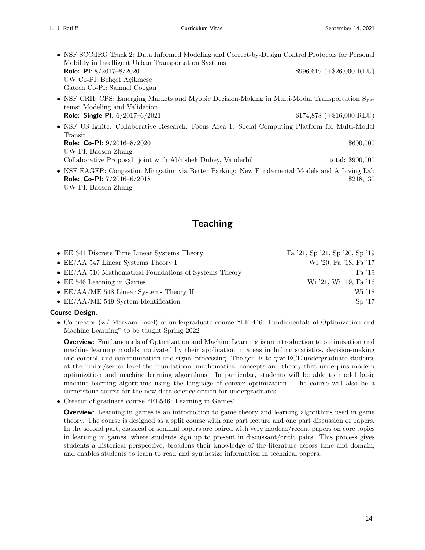- NSF SCC:IRG Track 2: Data Informed Modeling and Correct-by-Design Control Protocols for Personal Mobility in Intelligent Urban Transportation Systems **Role: PI**:  $8/2017 - 8/2020$  \$996,619 (+\$26,000 REU) UW Co-PI: Behçet Açikmeşe Gatech Co-PI: Samuel Coogan • NSF CRII: CPS: Emerging Markets and Myopic Decision-Making in Multi-Modal Transportation Systems: Modeling and Validation
- **Role: Single PI:**  $6/2017-6/2021$   $$174,878$   $(+16,000$  REU) • NSF US Ignite: Collaborative Research: Focus Area 1: Social Computing Platform for Multi-Modal Transit **Role: Co-PI:**  $9/2016-8/2020$  \$600,000 UW PI: Baosen Zhang Collaborative Proposal: joint with Abhishek Dubey, Vanderbilt total: \$900,000
- NSF EAGER: Congestion Mitigation via Better Parking: New Fundamental Models and A Living Lab **Role: Co-PI:**  $7/2016-6/2018$  \$218,130 UW PI: Baosen Zhang

### **Teaching**

| • EE 341 Discrete Time Linear Systems Theory                   | Fa '21, Sp '21, Sp '20, Sp '19 |
|----------------------------------------------------------------|--------------------------------|
| • $EE/AA$ 547 Linear Systems Theory I                          | Wi '20, Fa '18, Fa '17         |
| $\bullet$ EE/AA 510 Mathematical Foundations of Systems Theory | Fa '19                         |
| $\bullet$ EE 546 Learning in Games                             | Wi '21, Wi '19, Fa '16         |
| $\bullet$ EE/AA/ME 548 Linear Systems Theory II                | Wi '18                         |
| • $EE/AA/ME$ 549 System Identification                         | $\mathrm{Sp}$ '17              |

#### Course Design:

• Co-creator (w/ Maryam Fazel) of undergraduate course "EE 446: Fundamentals of Optimization and Machine Learning" to be taught Spring 2022

**Overview**: Fundamentals of Optimization and Machine Learning is an introduction to optimization and machine learning models motivated by their application in areas including statistics, decision-making and control, and communication and signal processing. The goal is to give ECE undergraduate students at the junior/senior level the foundational mathematical concepts and theory that underpins modern optimization and machine learning algorithms. In particular, students will be able to model basic machine learning algorithms using the language of convex optimization. The course will also be a cornerstone course for the new data science option for undergraduates.

• Creator of graduate course "EE546: Learning in Games"

**Overview**: Learning in games is an introduction to game theory and learning algorithms used in game theory. The course is designed as a split course with one part lecture and one part discussion of papers. In the second part, classical or seminal papers are paired with very modern/recent papers on core topics in learning in games, where students sign up to present in discussant/critic pairs. This process gives students a historical perspective, broadens their knowledge of the literature across time and domain, and enables students to learn to read and synthesize information in technical papers.